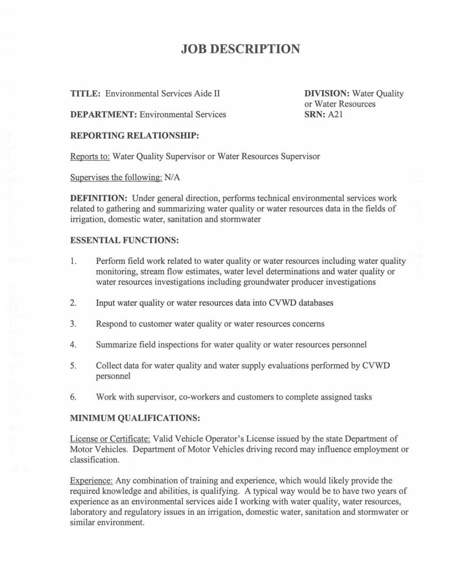## **JOB DESCRIPTION**

**TITLE:** Environmental Services Aide II

**DIVISION:** Water Quality or Water Resources **SRN:** A21

**DEPARTMENT:** Environmental Services

### **REPORTING RELATIONSHIP:**

Reports to: Water Quality Supervisor or Water Resources Supervisor

Supervises the following: N/A

**DEFINITION:** Under general direction, performs technical environmental services work related to gathering and summarizing water quality or water resources data in the fields of irrigation, domestic water, sanitation and stormwater

### **ESSENTIAL FUNCTIONS:**

- 1. Perform field work related to water quality or water resources including water quality monitoring, stream flow estimates, water level determinations and water quality or water resources investigations including groundwater producer investigations
- 2. Input water quality or water resources data into CVWD databases
- 3. Respond to customer water quality or water resources concerns
- 4. Summarize field inspections for water quality or water resources personnel
- 5. Collect data for water quality and water supply evaluations performed by CVWD personnel
- 6. Work with supervisor, co-workers and customers to complete assigned tasks

### **MINIMUM QUALIFICATIONS:**

License or Certificate: Valid Vehicle Operator's License issued by the state Department of Motor Vehicles. Department of Motor Vehicles driving record may influence employment or classification.

Experience: Any combination of training and experience, which would likely provide the required knowledge and abilities, is qualifying. A typical way would be to have two years of experience as an environmental services aide I working with water quality, water resources, laboratory and regulatory issues in an irrigation, domestic water, sanitation and stormwater or similar environment.